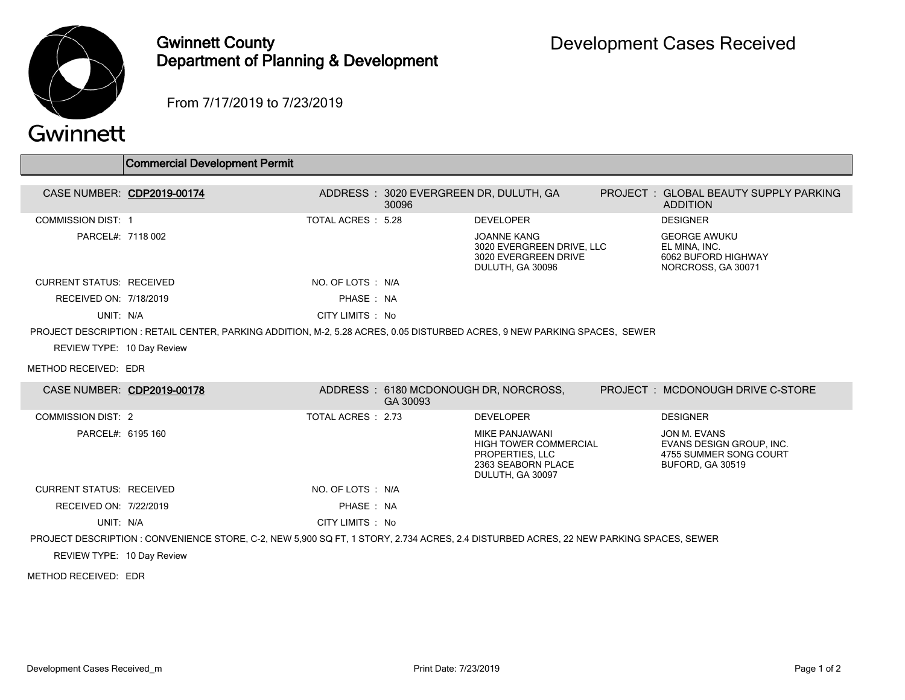

## Gwinnett County Department of Planning & Development

From 7/17/2019 to 7/23/2019

| QVVII II ICLL                                                                                                             |                                                                                                                                        |                    |          |                                                                                                                    |  |                                                                                        |  |  |
|---------------------------------------------------------------------------------------------------------------------------|----------------------------------------------------------------------------------------------------------------------------------------|--------------------|----------|--------------------------------------------------------------------------------------------------------------------|--|----------------------------------------------------------------------------------------|--|--|
|                                                                                                                           | <b>Commercial Development Permit</b>                                                                                                   |                    |          |                                                                                                                    |  |                                                                                        |  |  |
| CASE NUMBER: CDP2019-00174                                                                                                |                                                                                                                                        |                    | 30096    | ADDRESS: 3020 EVERGREEN DR, DULUTH, GA                                                                             |  | PROJECT: GLOBAL BEAUTY SUPPLY PARKING<br><b>ADDITION</b>                               |  |  |
| <b>COMMISSION DIST: 1</b>                                                                                                 |                                                                                                                                        | TOTAL ACRES : 5.28 |          | <b>DEVELOPER</b>                                                                                                   |  | <b>DESIGNER</b>                                                                        |  |  |
| PARCEL#: 7118 002                                                                                                         |                                                                                                                                        |                    |          | <b>JOANNE KANG</b><br>3020 EVERGREEN DRIVE, LLC<br>3020 EVERGREEN DRIVE<br>DULUTH, GA 30096                        |  | <b>GEORGE AWUKU</b><br>EL MINA, INC.<br>6062 BUFORD HIGHWAY<br>NORCROSS, GA 30071      |  |  |
| <b>CURRENT STATUS: RECEIVED</b>                                                                                           |                                                                                                                                        | NO. OF LOTS : N/A  |          |                                                                                                                    |  |                                                                                        |  |  |
| RECEIVED ON: 7/18/2019                                                                                                    |                                                                                                                                        | PHASE: NA          |          |                                                                                                                    |  |                                                                                        |  |  |
| UNIT: N/A                                                                                                                 |                                                                                                                                        | CITY LIMITS : No   |          |                                                                                                                    |  |                                                                                        |  |  |
| PROJECT DESCRIPTION : RETAIL CENTER, PARKING ADDITION, M-2, 5.28 ACRES, 0.05 DISTURBED ACRES, 9 NEW PARKING SPACES, SEWER |                                                                                                                                        |                    |          |                                                                                                                    |  |                                                                                        |  |  |
| REVIEW TYPE: 10 Day Review                                                                                                |                                                                                                                                        |                    |          |                                                                                                                    |  |                                                                                        |  |  |
| METHOD RECEIVED: EDR                                                                                                      |                                                                                                                                        |                    |          |                                                                                                                    |  |                                                                                        |  |  |
|                                                                                                                           | CASE NUMBER: CDP2019-00178                                                                                                             |                    | GA 30093 | ADDRESS: 6180 MCDONOUGH DR, NORCROSS,                                                                              |  | PROJECT: MCDONOUGH DRIVE C-STORE                                                       |  |  |
| <b>COMMISSION DIST: 2</b>                                                                                                 |                                                                                                                                        | TOTAL ACRES : 2.73 |          | <b>DEVELOPER</b>                                                                                                   |  | <b>DESIGNER</b>                                                                        |  |  |
| PARCEL#: 6195 160                                                                                                         |                                                                                                                                        |                    |          | <b>MIKE PANJAWANI</b><br><b>HIGH TOWER COMMERCIAL</b><br>PROPERTIES, LLC<br>2363 SEABORN PLACE<br>DULUTH, GA 30097 |  | JON M. EVANS<br>EVANS DESIGN GROUP, INC.<br>4755 SUMMER SONG COURT<br>BUFORD, GA 30519 |  |  |
| <b>CURRENT STATUS: RECEIVED</b>                                                                                           |                                                                                                                                        | NO. OF LOTS : N/A  |          |                                                                                                                    |  |                                                                                        |  |  |
| RECEIVED ON: 7/22/2019                                                                                                    |                                                                                                                                        | PHASE : NA         |          |                                                                                                                    |  |                                                                                        |  |  |
| UNIT: N/A                                                                                                                 |                                                                                                                                        | CITY LIMITS : No   |          |                                                                                                                    |  |                                                                                        |  |  |
|                                                                                                                           | PROJECT DESCRIPTION : CONVENIENCE STORE, C-2, NEW 5,900 SQ FT, 1 STORY, 2.734 ACRES, 2.4 DISTURBED ACRES, 22 NEW PARKING SPACES, SEWER |                    |          |                                                                                                                    |  |                                                                                        |  |  |
| REVIEW TYPE: 10 Day Review                                                                                                |                                                                                                                                        |                    |          |                                                                                                                    |  |                                                                                        |  |  |
| METHOD RECEIVED: EDR                                                                                                      |                                                                                                                                        |                    |          |                                                                                                                    |  |                                                                                        |  |  |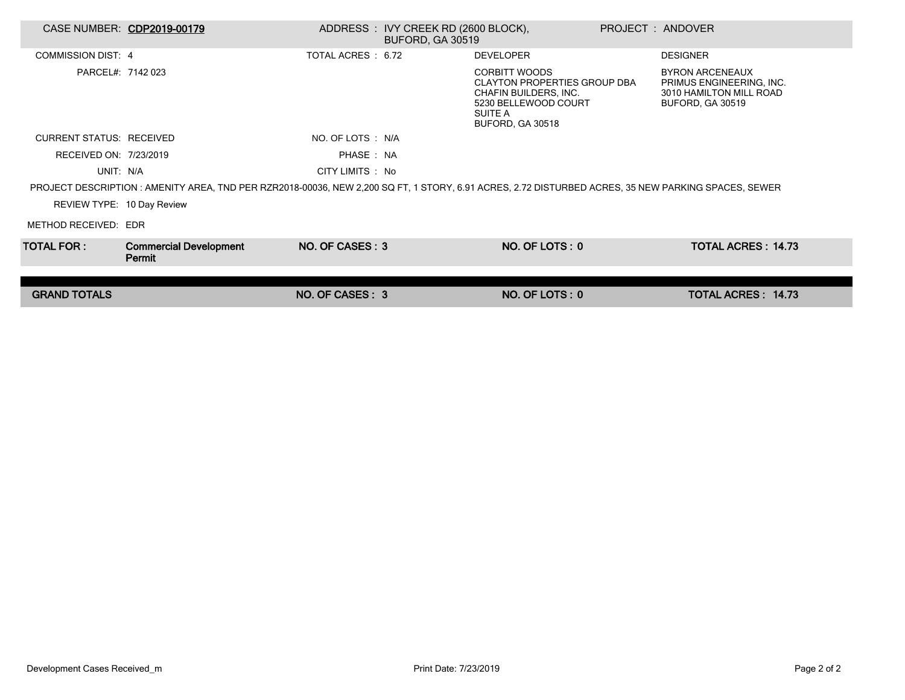|                                                                                                                                                    | CASE NUMBER: CDP2019-00179              |                   | ADDRESS: IVY CREEK RD (2600 BLOCK),<br><b>BUFORD, GA 30519</b> |                                                                                                                                             | PROJECT: ANDOVER |                                                                                                          |  |
|----------------------------------------------------------------------------------------------------------------------------------------------------|-----------------------------------------|-------------------|----------------------------------------------------------------|---------------------------------------------------------------------------------------------------------------------------------------------|------------------|----------------------------------------------------------------------------------------------------------|--|
| <b>COMMISSION DIST: 4</b>                                                                                                                          |                                         | TOTAL ACRES: 6.72 |                                                                | <b>DEVELOPER</b>                                                                                                                            |                  | <b>DESIGNER</b>                                                                                          |  |
| PARCEL#: 7142 023                                                                                                                                  |                                         |                   |                                                                | <b>CORBITT WOODS</b><br><b>CLAYTON PROPERTIES GROUP DBA</b><br>CHAFIN BUILDERS, INC.<br>5230 BELLEWOOD COURT<br>SUITE A<br>BUFORD, GA 30518 |                  | <b>BYRON ARCENEAUX</b><br>PRIMUS ENGINEERING, INC.<br>3010 HAMILTON MILL ROAD<br><b>BUFORD, GA 30519</b> |  |
| <b>CURRENT STATUS: RECEIVED</b>                                                                                                                    |                                         | NO. OF LOTS : N/A |                                                                |                                                                                                                                             |                  |                                                                                                          |  |
| RECEIVED ON: 7/23/2019                                                                                                                             |                                         | PHASE: NA         |                                                                |                                                                                                                                             |                  |                                                                                                          |  |
| UNIT: N/A                                                                                                                                          |                                         | CITY LIMITS : No  |                                                                |                                                                                                                                             |                  |                                                                                                          |  |
| PROJECT DESCRIPTION: AMENITY AREA, TND PER RZR2018-00036, NEW 2,200 SQ FT, 1 STORY, 6.91 ACRES, 2.72 DISTURBED ACRES, 35 NEW PARKING SPACES, SEWER |                                         |                   |                                                                |                                                                                                                                             |                  |                                                                                                          |  |
| REVIEW TYPE: 10 Day Review                                                                                                                         |                                         |                   |                                                                |                                                                                                                                             |                  |                                                                                                          |  |
| METHOD RECEIVED: EDR                                                                                                                               |                                         |                   |                                                                |                                                                                                                                             |                  |                                                                                                          |  |
| TOTAL FOR : I                                                                                                                                      | <b>Commercial Development</b><br>Permit | NO. OF CASES: 3   |                                                                | NO. OF LOTS: 0                                                                                                                              |                  | <b>TOTAL ACRES: 14.73</b>                                                                                |  |
|                                                                                                                                                    |                                         |                   |                                                                |                                                                                                                                             |                  |                                                                                                          |  |
| <b>GRAND TOTALS</b>                                                                                                                                |                                         | NO. OF CASES: 3   |                                                                | NO. OF LOTS: 0                                                                                                                              |                  | TOTAL ACRES: 14.73                                                                                       |  |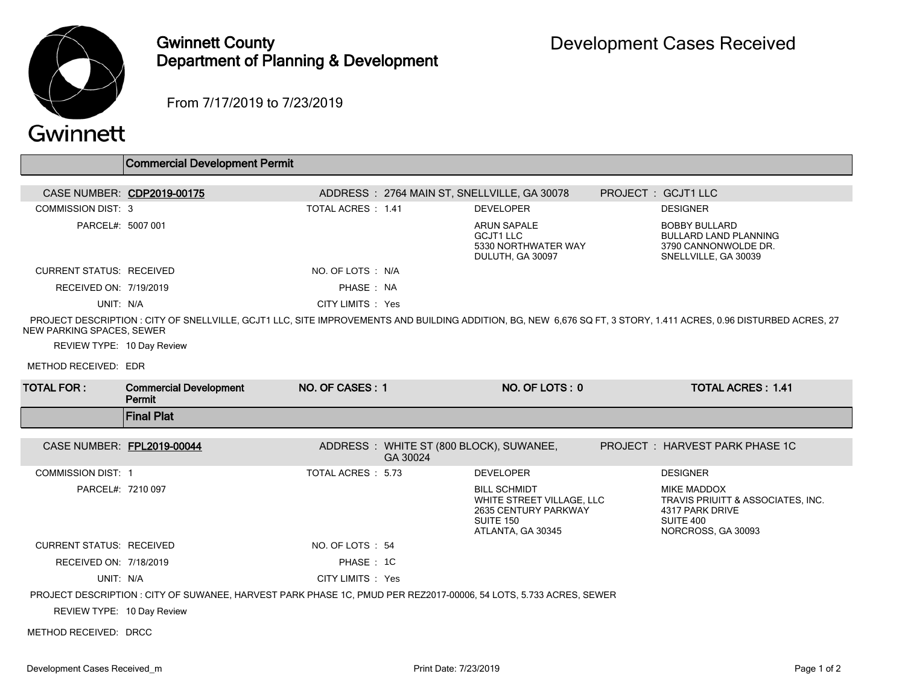

## Gwinnett County Department of Planning & Development

From 7/17/2019 to 7/23/2019

|                                                         | <b>Commercial Development Permit</b>                                                                              |                    |          |                                                                                     |                                                                                                                                                                   |
|---------------------------------------------------------|-------------------------------------------------------------------------------------------------------------------|--------------------|----------|-------------------------------------------------------------------------------------|-------------------------------------------------------------------------------------------------------------------------------------------------------------------|
|                                                         | CASE NUMBER: CDP2019-00175                                                                                        |                    |          | ADDRESS: 2764 MAIN ST, SNELLVILLE, GA 30078                                         | PROJECT : GCJT1 LLC                                                                                                                                               |
| <b>COMMISSION DIST: 3</b>                               |                                                                                                                   | TOTAL ACRES : 1.41 |          | <b>DEVELOPER</b>                                                                    | <b>DESIGNER</b>                                                                                                                                                   |
| PARCEL#: 5007 001                                       |                                                                                                                   |                    |          | <b>ARUN SAPALE</b><br><b>GCJT1 LLC</b><br>5330 NORTHWATER WAY<br>DULUTH, GA 30097   | <b>BOBBY BULLARD</b><br><b>BULLARD LAND PLANNING</b><br>3790 CANNONWOLDE DR.<br>SNELLVILLE, GA 30039                                                              |
| <b>CURRENT STATUS: RECEIVED</b>                         |                                                                                                                   | NO. OF LOTS : N/A  |          |                                                                                     |                                                                                                                                                                   |
| RECEIVED ON: 7/19/2019                                  |                                                                                                                   | PHASE: NA          |          |                                                                                     |                                                                                                                                                                   |
| UNIT: N/A                                               |                                                                                                                   | CITY LIMITS : Yes  |          |                                                                                     |                                                                                                                                                                   |
| NEW PARKING SPACES, SEWER<br>REVIEW TYPE: 10 Day Review |                                                                                                                   |                    |          |                                                                                     | PROJECT DESCRIPTION : CITY OF SNELLVILLE, GCJT1 LLC, SITE IMPROVEMENTS AND BUILDING ADDITION, BG, NEW 6,676 SQ FT, 3 STORY, 1.411 ACRES, 0.96 DISTURBED ACRES, 27 |
| METHOD RECEIVED: EDR                                    |                                                                                                                   |                    |          |                                                                                     |                                                                                                                                                                   |
| <b>TOTAL FOR:</b>                                       | <b>Commercial Development</b><br>Permit                                                                           | NO. OF CASES: 1    |          | NO. OF LOTS: 0                                                                      | <b>TOTAL ACRES: 1.41</b>                                                                                                                                          |
|                                                         | <b>Final Plat</b>                                                                                                 |                    |          |                                                                                     |                                                                                                                                                                   |
|                                                         | CASE NUMBER: FPL2019-00044                                                                                        |                    | GA 30024 | ADDRESS: WHITE ST (800 BLOCK), SUWANEE,                                             | PROJECT: HARVEST PARK PHASE 1C                                                                                                                                    |
| <b>COMMISSION DIST: 1</b>                               |                                                                                                                   | TOTAL ACRES : 5.73 |          | <b>DEVELOPER</b>                                                                    | <b>DESIGNER</b>                                                                                                                                                   |
| PARCEL#: 7210 097                                       |                                                                                                                   |                    |          | <b>BILL SCHMIDT</b>                                                                 | MIKE MADDOX                                                                                                                                                       |
|                                                         |                                                                                                                   |                    |          | WHITE STREET VILLAGE, LLC<br>2635 CENTURY PARKWAY<br>SUITE 150<br>ATLANTA, GA 30345 | TRAVIS PRIUITT & ASSOCIATES, INC.<br>4317 PARK DRIVE<br>SUITE 400<br>NORCROSS, GA 30093                                                                           |
| <b>CURRENT STATUS: RECEIVED</b>                         |                                                                                                                   | NO. OF LOTS: 54    |          |                                                                                     |                                                                                                                                                                   |
| RECEIVED ON: 7/18/2019                                  |                                                                                                                   | PHASE: 1C          |          |                                                                                     |                                                                                                                                                                   |
| UNIT: N/A                                               |                                                                                                                   | CITY LIMITS : Yes  |          |                                                                                     |                                                                                                                                                                   |
|                                                         | PROJECT DESCRIPTION : CITY OF SUWANEE, HARVEST PARK PHASE 1C, PMUD PER REZ2017-00006, 54 LOTS, 5.733 ACRES, SEWER |                    |          |                                                                                     |                                                                                                                                                                   |
| REVIEW TYPE: 10 Day Review                              |                                                                                                                   |                    |          |                                                                                     |                                                                                                                                                                   |